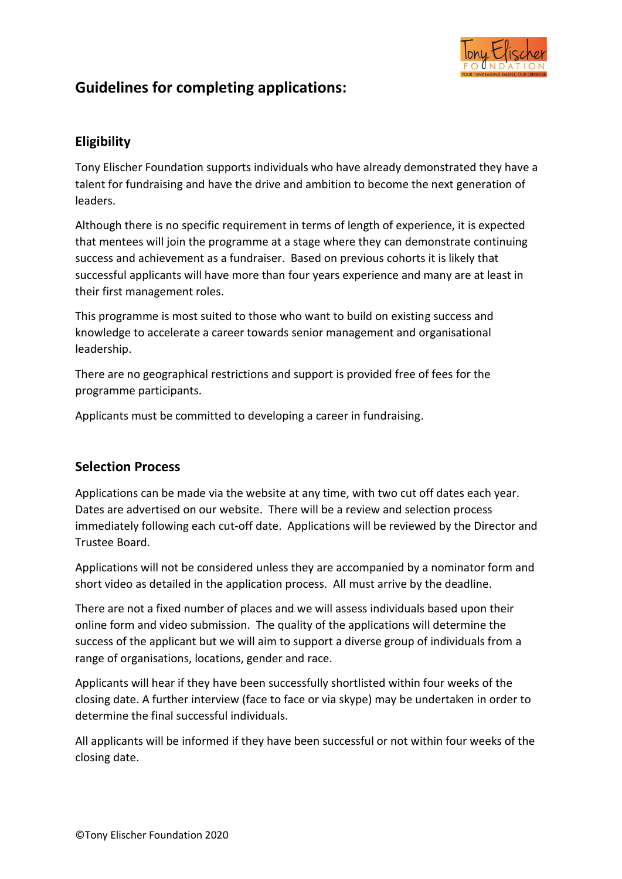

# **Guidelines for completing applications:**

## **Eligibility**

Tony Elischer Foundation supports individuals who have already demonstrated they have a talent for fundraising and have the drive and ambition to become the next generation of leaders.

Although there is no specific requirement in terms of length of experience, it is expected that mentees will join the programme at a stage where they can demonstrate continuing success and achievement as a fundraiser. Based on previous cohorts it is likely that successful applicants will have more than four years experience and many are at least in their first management roles.

This programme is most suited to those who want to build on existing success and knowledge to accelerate a career towards senior management and organisational leadership.

There are no geographical restrictions and support is provided free of fees for the programme participants.

Applicants must be committed to developing a career in fundraising.

### **Selection Process**

Applications can be made via the website at any time, with two cut off dates each year. Dates are advertised on our website. There will be a review and selection process immediately following each cut-off date. Applications will be reviewed by the Director and Trustee Board.

Applications will not be considered unless they are accompanied by a nominator form and short video as detailed in the application process. All must arrive by the deadline.

There are not a fixed number of places and we will assess individuals based upon their online form and video submission. The quality of the applications will determine the success of the applicant but we will aim to support a diverse group of individuals from a range of organisations, locations, gender and race.

Applicants will hear if they have been successfully shortlisted within four weeks of the closing date. A further interview (face to face or via skype) may be undertaken in order to determine the final successful individuals.

All applicants will be informed if they have been successful or not within four weeks of the closing date.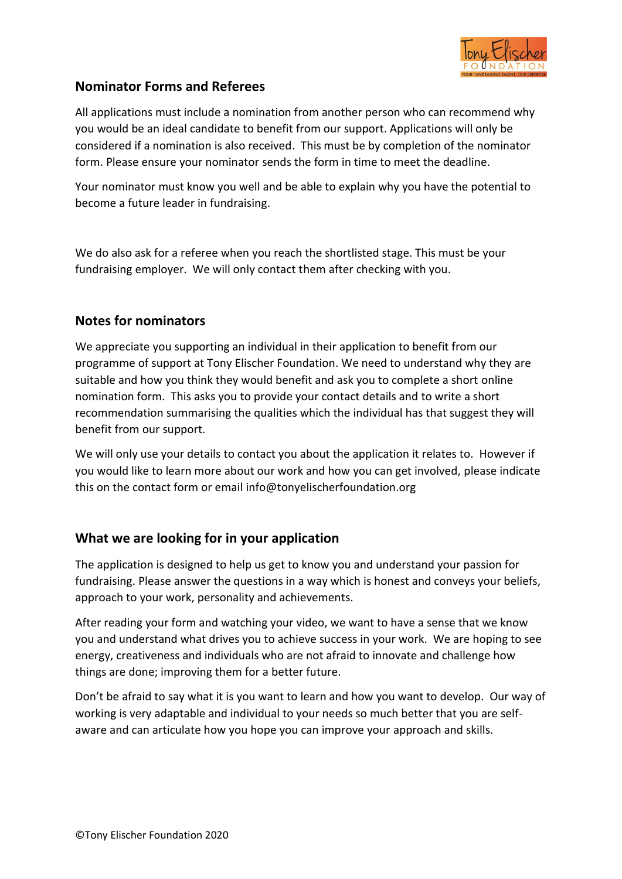

### **Nominator Forms and Referees**

All applications must include a nomination from another person who can recommend why you would be an ideal candidate to benefit from our support. Applications will only be considered if a nomination is also received. This must be by completion of the nominator form. Please ensure your nominator sends the form in time to meet the deadline.

Your nominator must know you well and be able to explain why you have the potential to become a future leader in fundraising.

We do also ask for a referee when you reach the shortlisted stage. This must be your fundraising employer. We will only contact them after checking with you.

### **Notes for nominators**

We appreciate you supporting an individual in their application to benefit from our programme of support at Tony Elischer Foundation. We need to understand why they are suitable and how you think they would benefit and ask you to complete a short online nomination form. This asks you to provide your contact details and to write a short recommendation summarising the qualities which the individual has that suggest they will benefit from our support.

We will only use your details to contact you about the application it relates to. However if you would like to learn more about our work and how you can get involved, please indicate this on the contact form or email info@tonyelischerfoundation.org

### **What we are looking for in your application**

The application is designed to help us get to know you and understand your passion for fundraising. Please answer the questions in a way which is honest and conveys your beliefs, approach to your work, personality and achievements.

After reading your form and watching your video, we want to have a sense that we know you and understand what drives you to achieve success in your work. We are hoping to see energy, creativeness and individuals who are not afraid to innovate and challenge how things are done; improving them for a better future.

Don't be afraid to say what it is you want to learn and how you want to develop. Our way of working is very adaptable and individual to your needs so much better that you are selfaware and can articulate how you hope you can improve your approach and skills.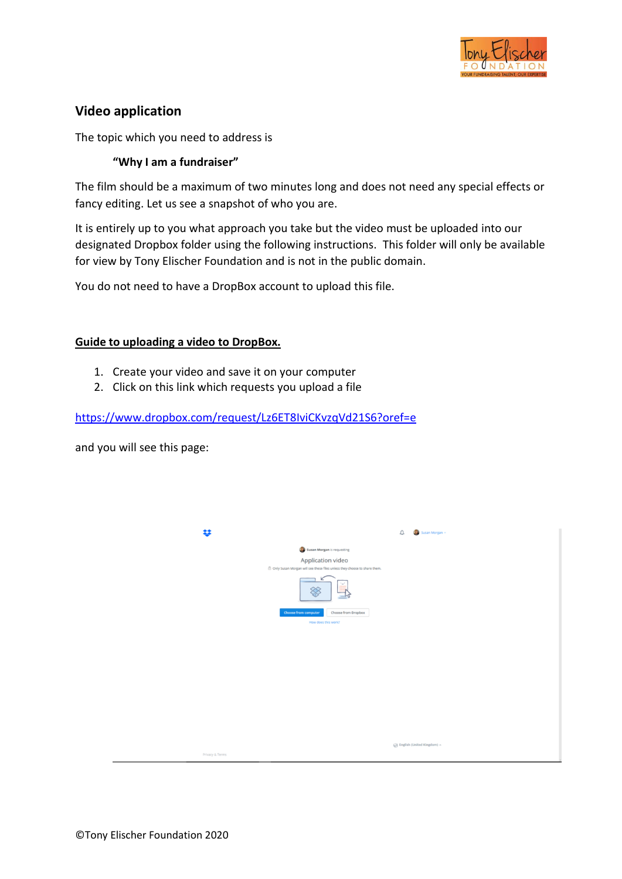

## **Video application**

The topic which you need to address is

#### **"Why I am a fundraiser"**

The film should be a maximum of two minutes long and does not need any special effects or fancy editing. Let us see a snapshot of who you are.

It is entirely up to you what approach you take but the video must be uploaded into our designated Dropbox folder using the following instructions. This folder will only be available for view by Tony Elischer Foundation and is not in the public domain.

You do not need to have a DropBox account to upload this file.

#### **Guide to uploading a video to DropBox.**

- 1. Create your video and save it on your computer
- 2. Click on this link which requests you upload a file

<https://www.dropbox.com/request/Lz6ET8IviCKvzqVd21S6?oref=e>

and you will see this page:

| 棼                                                                                     | △<br>Susan Morgan -        |
|---------------------------------------------------------------------------------------|----------------------------|
| Susan Morgan is requesting                                                            |                            |
| Application video                                                                     |                            |
| <sup>6</sup> Only Susan Morgan will see these files unless they choose to share them. |                            |
|                                                                                       |                            |
| <b>Choose from computer</b>                                                           | Choose from Dropbox        |
| How does this work?                                                                   |                            |
|                                                                                       |                            |
|                                                                                       |                            |
|                                                                                       |                            |
|                                                                                       |                            |
|                                                                                       |                            |
|                                                                                       |                            |
|                                                                                       |                            |
|                                                                                       |                            |
|                                                                                       |                            |
|                                                                                       |                            |
|                                                                                       | English (United Kingdom) ~ |
| Privacy & Terms                                                                       |                            |